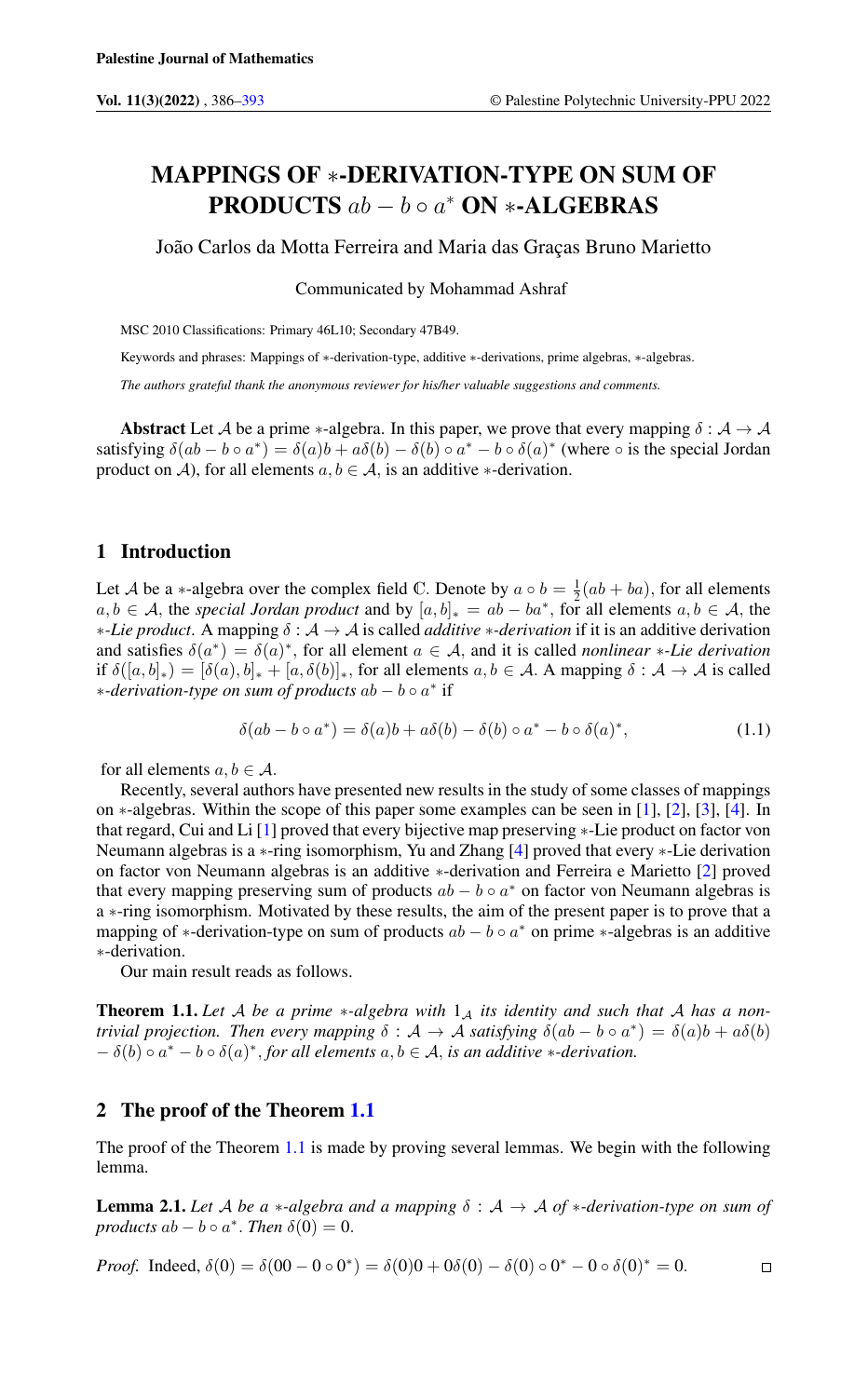# MAPPINGS OF ∗-DERIVATION-TYPE ON SUM OF **PRODUCTS**  $ab - b \circ a^*$  **ON \*-ALGEBRAS**

João Carlos da Motta Ferreira and Maria das Graças Bruno Marietto

#### Communicated by Mohammad Ashraf

MSC 2010 Classifications: Primary 46L10; Secondary 47B49.

Keywords and phrases: Mappings of ∗-derivation-type, additive ∗-derivations, prime algebras, ∗-algebras.

*The authors grateful thank the anonymous reviewer for his/her valuable suggestions and comments.*

Abstract Let A be a prime \*-algebra. In this paper, we prove that every mapping  $\delta : A \to A$ satisfying  $\delta(ab - b \circ a^*) = \delta(a)b + a\delta(b) - \delta(b) \circ a^* - b \circ \delta(a)^*$  (where  $\circ$  is the special Jordan product on A), for all elements  $a, b \in A$ , is an additive  $\ast$ -derivation.

## 1 Introduction

Let A be a ∗-algebra over the complex field C. Denote by  $a \circ b = \frac{1}{2}(ab + ba)$ , for all elements Let A be a \* algebra over the complex herd c. Denote by  $a \circ b = \frac{1}{2}(ab + ba)$ , for all elements  $a, b \in A$ , the special Jordan product and by  $[a, b]_{*} = ab - ba^{*}$ , for all elements  $a, b \in A$ , the ∗*-Lie product*. A mapping δ : A → A is called *additive* ∗*-derivation* if it is an additive derivation and satisfies  $\delta(a^*) = \delta(a)^*$ , for all element  $a \in \mathcal{A}$ , and it is called *nonlinear* \*-Lie derivation if  $\delta([a, b]_*) = [\delta(a), b]_* + [a, \delta(b)]_*$ , for all elements  $a, b \in A$ . A mapping  $\delta : A \to A$  is called ∗*-derivation-type on sum of products* ab − b ◦ a ∗ if

$$
\delta(ab - b \circ a^*) = \delta(a)b + a\delta(b) - \delta(b) \circ a^* - b \circ \delta(a)^*,
$$
\n(1.1)

for all elements  $a, b \in A$ .

Recently, several authors have presented new results in the study of some classes of mappings on ∗-algebras. Within the scope of this paper some examples can be seen in [\[1\]](#page-7-1), [\[2\]](#page-7-2), [\[3\]](#page-7-3), [\[4\]](#page-7-4). In that regard, Cui and Li [\[1\]](#page-7-1) proved that every bijective map preserving ∗-Lie product on factor von Neumann algebras is a ∗-ring isomorphism, Yu and Zhang [\[4\]](#page-7-4) proved that every ∗-Lie derivation on factor von Neumann algebras is an additive ∗-derivation and Ferreira e Marietto [\[2\]](#page-7-2) proved that every mapping preserving sum of products  $ab - b \circ a^*$  on factor von Neumann algebras is a ∗-ring isomorphism. Motivated by these results, the aim of the present paper is to prove that a mapping of \*-derivation-type on sum of products  $ab - b \circ a^*$  on prime \*-algebras is an additive ∗-derivation.

Our main result reads as follows.

<span id="page-0-0"></span>**Theorem 1.1.** Let A be a prime  $*$ -algebra with  $1_A$  its identity and such that A has a non*trivial projection. Then every mapping*  $\delta : A \to A$  *satisfying*  $\delta(ab - b \circ a^*) = \delta(a)b + a\delta(b)$  $- \delta(b) \circ a^* - b \circ \delta(a)^*$ , *for all elements*  $a, b \in \mathcal{A}$ , *is an additive* \*-*derivation.* 

## 2 The proof of the Theorem [1.1](#page-0-0)

The proof of the Theorem [1.1](#page-0-0) is made by proving several lemmas. We begin with the following lemma.

<span id="page-0-1"></span>**Lemma 2.1.** Let A be a \*-algebra and a mapping  $\delta : A \rightarrow A$  of \*-derivation-type on sum of *products*  $ab - b \circ a^*$ . *Then*  $\delta(0) = 0$ .

*Proof.* Indeed, 
$$
\delta(0) = \delta(00 - 0 \circ 0^*) = \delta(0)0 + 0\delta(0) - \delta(0) \circ 0^* - 0 \circ \delta(0)^* = 0.
$$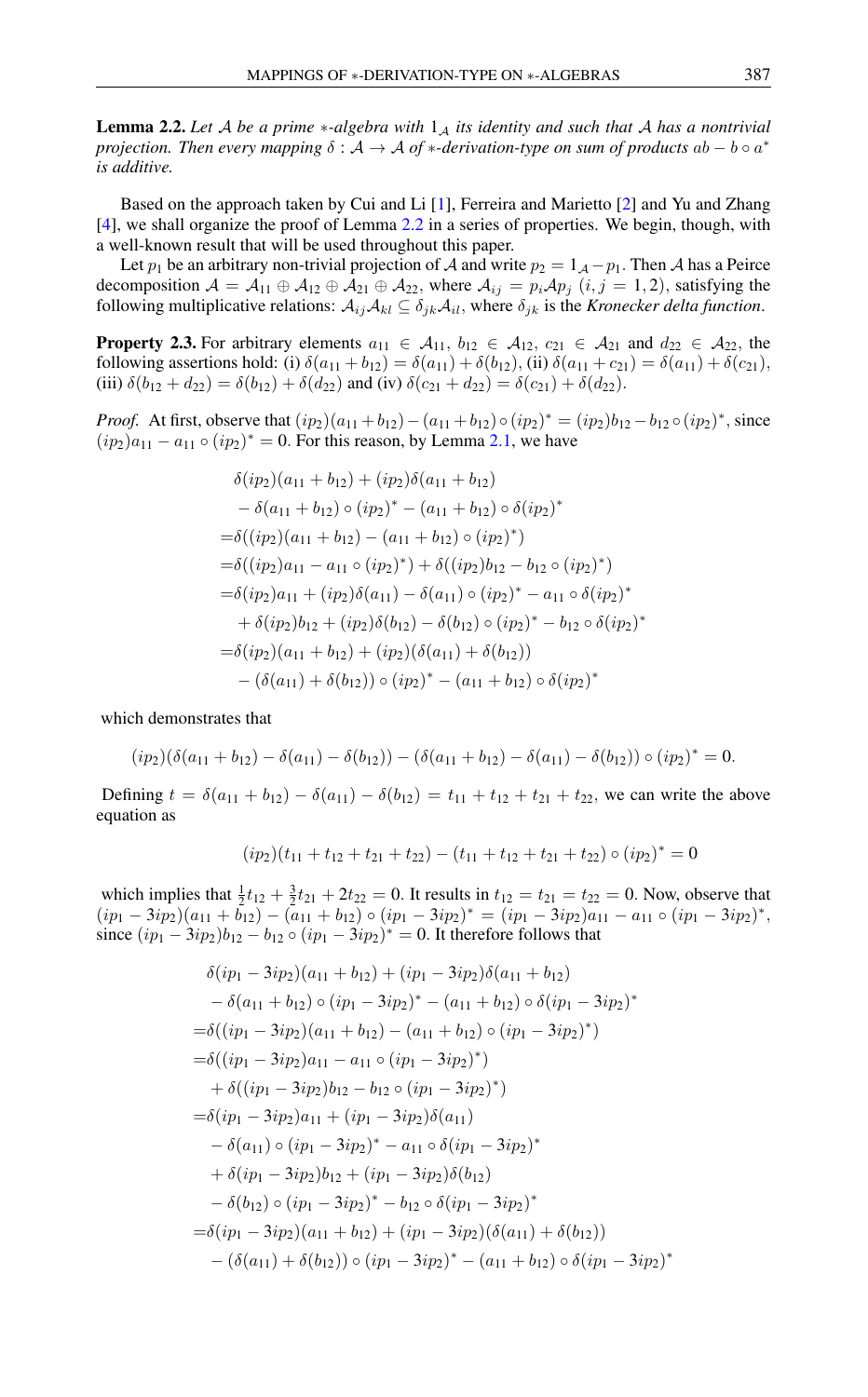<span id="page-1-0"></span>**Lemma 2.2.** Let A be a prime  $*$ -algebra with  $1_A$  its identity and such that A has a nontrivial *projection. Then every mapping* δ : A → A *of* ∗*-derivation-type on sum of products* ab − b ◦ a ∗ *is additive.*

Based on the approach taken by Cui and Li [\[1\]](#page-7-1), Ferreira and Marietto [\[2\]](#page-7-2) and Yu and Zhang [\[4\]](#page-7-4), we shall organize the proof of Lemma [2.2](#page-1-0) in a series of properties. We begin, though, with a well-known result that will be used throughout this paper.

Let  $p_1$  be an arbitrary non-trivial projection of A and write  $p_2 = 1_A - p_1$ . Then A has a Peirce decomposition  $A = A_{11} \oplus A_{12} \oplus A_{21} \oplus A_{22}$ , where  $A_{ij} = p_i A p_j$   $(i, j = 1, 2)$ , satisfying the following multiplicative relations:  $A_{ij}A_{kl} \subseteq \delta_{ik}A_{il}$ , where  $\delta_{ik}$  is the *Kronecker delta function*.

<span id="page-1-1"></span>**Property 2.3.** For arbitrary elements  $a_{11} \in A_{11}$ ,  $b_{12} \in A_{12}$ ,  $c_{21} \in A_{21}$  and  $d_{22} \in A_{22}$ , the following assertions hold: (i)  $\delta(a_{11} + b_{12}) = \delta(a_{11}) + \delta(b_{12}),$  (ii)  $\delta(a_{11} + c_{21}) = \delta(a_{11}) + \delta(c_{21}),$ (iii)  $\delta(b_{12} + d_{22}) = \delta(b_{12}) + \delta(d_{22})$  and (iv)  $\delta(c_{21} + d_{22}) = \delta(c_{21}) + \delta(d_{22})$ .

*Proof.* At first, observe that  $(ip_2)(a_{11} + b_{12}) - (a_{11} + b_{12}) \circ (ip_2)^* = (ip_2)b_{12} - b_{12} \circ (ip_2)^*$ , since  $(ip_2)a_{11} - a_{11} \circ (ip_2)^* = 0$ . For this reason, by Lemma [2.1,](#page-0-1) we have

$$
\delta(ip_2)(a_{11} + b_{12}) + (ip_2)\delta(a_{11} + b_{12})
$$
  
\n
$$
- \delta(a_{11} + b_{12}) \circ (ip_2)^* - (a_{11} + b_{12}) \circ \delta(ip_2)^*
$$
  
\n
$$
= \delta((ip_2)(a_{11} + b_{12}) - (a_{11} + b_{12}) \circ (ip_2)^*)
$$
  
\n
$$
= \delta((ip_2)a_{11} - a_{11} \circ (ip_2)^*) + \delta((ip_2)b_{12} - b_{12} \circ (ip_2)^*)
$$
  
\n
$$
= \delta(ip_2)a_{11} + (ip_2)\delta(a_{11}) - \delta(a_{11}) \circ (ip_2)^* - a_{11} \circ \delta(ip_2)^*
$$
  
\n
$$
+ \delta(ip_2)b_{12} + (ip_2)\delta(b_{12}) - \delta(b_{12}) \circ (ip_2)^* - b_{12} \circ \delta(ip_2)^*
$$
  
\n
$$
= \delta(ip_2)(a_{11} + b_{12}) + (ip_2)(\delta(a_{11}) + \delta(b_{12}))
$$
  
\n
$$
- (\delta(a_{11}) + \delta(b_{12})) \circ (ip_2)^* - (a_{11} + b_{12}) \circ \delta(ip_2)^*
$$

which demonstrates that

$$
(ip_2)(\delta(a_{11} + b_{12}) - \delta(a_{11}) - \delta(b_{12})) - (\delta(a_{11} + b_{12}) - \delta(a_{11}) - \delta(b_{12})) \circ (ip_2)^* = 0.
$$

Defining  $t = \delta(a_{11} + b_{12}) - \delta(a_{11}) - \delta(b_{12}) = t_{11} + t_{12} + t_{21} + t_{22}$ , we can write the above equation as

$$
(ip_2)(t_{11} + t_{12} + t_{21} + t_{22}) - (t_{11} + t_{12} + t_{21} + t_{22}) \circ (ip_2)^* = 0
$$

which implies that  $\frac{1}{2}t_{12} + \frac{3}{2}t_{21} + 2t_{22} = 0$ . It results in  $t_{12} = t_{21} = t_{22} = 0$ . Now, observe that  $(ip_1 - 3ip_2)(a_{11} + \overline{b}_{12}) - (\overline{a}_{11} + b_{12}) \circ (ip_1 - 3ip_2)^* = (ip_1 - 3ip_2)a_{11} - a_{11} \circ (ip_1 - 3ip_2)^*,$ since  $(ip_1 - 3ip_2)b_{12} - b_{12} \circ (ip_1 - 3ip_2)^* = 0$ . It therefore follows that

$$
\delta(ip_1 - 3ip_2)(a_{11} + b_{12}) + (ip_1 - 3ip_2)\delta(a_{11} + b_{12})
$$
  
\n
$$
- \delta(a_{11} + b_{12}) \circ (ip_1 - 3ip_2)^* - (a_{11} + b_{12}) \circ \delta(ip_1 - 3ip_2)^*
$$
  
\n
$$
= \delta((ip_1 - 3ip_2)(a_{11} + b_{12}) - (a_{11} + b_{12}) \circ (ip_1 - 3ip_2)^*)
$$
  
\n
$$
= \delta((ip_1 - 3ip_2)a_{11} - a_{11} \circ (ip_1 - 3ip_2)^*)
$$
  
\n
$$
+ \delta((ip_1 - 3ip_2)b_{12} - b_{12} \circ (ip_1 - 3ip_2)^*)
$$
  
\n
$$
= \delta(ip_1 - 3ip_2)a_{11} + (ip_1 - 3ip_2)\delta(a_{11})
$$
  
\n
$$
- \delta(a_{11}) \circ (ip_1 - 3ip_2)^* - a_{11} \circ \delta(ip_1 - 3ip_2)^*
$$
  
\n
$$
+ \delta(ip_1 - 3ip_2)b_{12} + (ip_1 - 3ip_2)\delta(b_{12})
$$
  
\n
$$
- \delta(b_{12}) \circ (ip_1 - 3ip_2)^* - b_{12} \circ \delta(ip_1 - 3ip_2)^*
$$
  
\n
$$
= \delta(ip_1 - 3ip_2)(a_{11} + b_{12}) + (ip_1 - 3ip_2)(\delta(a_{11}) + \delta(b_{12}))
$$
  
\n
$$
- (\delta(a_{11}) + \delta(b_{12})) \circ (ip_1 - 3ip_2)^* - (a_{11} + b_{12}) \circ \delta(ip_1 - 3ip_2)^*
$$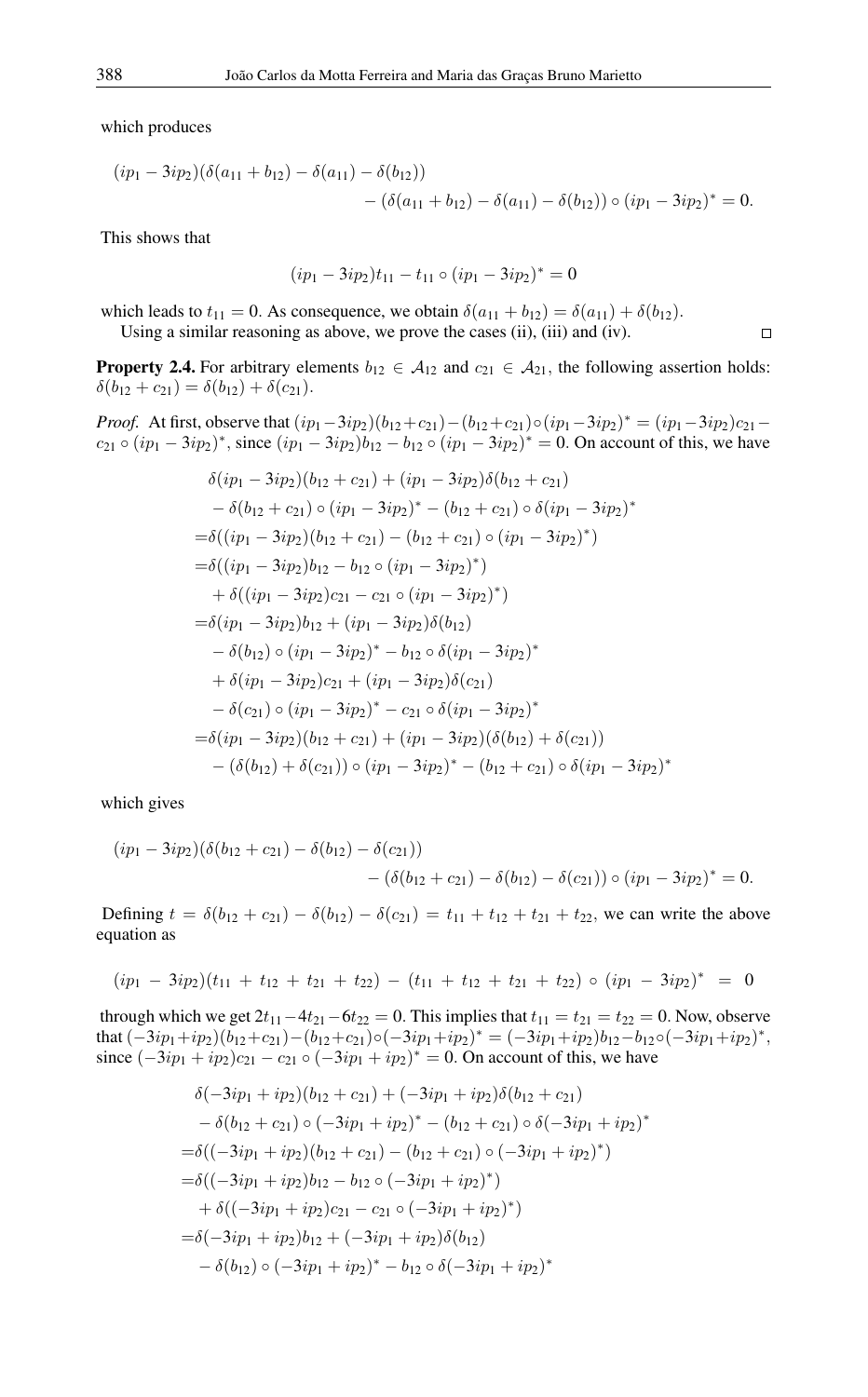which produces

$$
(ip_1 - 3ip_2)(\delta(a_{11} + b_{12}) - \delta(a_{11}) - \delta(b_{12}))
$$
  
- (\delta(a\_{11} + b\_{12}) - \delta(a\_{11}) - \delta(b\_{12})) \circ (ip\_1 - 3ip\_2)^\* = 0.

This shows that

$$
(ip_1 - 3ip_2)t_{11} - t_{11} \circ (ip_1 - 3ip_2)^* = 0
$$

which leads to  $t_{11} = 0$ . As consequence, we obtain  $\delta(a_{11} + b_{12}) = \delta(a_{11}) + \delta(b_{12})$ . Using a similar reasoning as above, we prove the cases (ii), (iii) and (iv).

<span id="page-2-0"></span>**Property 2.4.** For arbitrary elements  $b_{12} \in A_{12}$  and  $c_{21} \in A_{21}$ , the following assertion holds:  $\delta(b_{12}+c_{21})=\delta(b_{12})+\delta(c_{21}).$ 

*Proof.* At first, observe that  $(ip_1 - 3ip_2)(b_{12} + c_{21}) - (b_{12} + c_{21}) \circ (ip_1 - 3ip_2)^* = (ip_1 - 3ip_2)c_{21}$  $c_{21} \circ (ip_1 - 3ip_2)^*$ , since  $(ip_1 - 3ip_2)b_{12} - b_{12} \circ (ip_1 - 3ip_2)^* = 0$ . On account of this, we have

$$
\delta(ip_1 - 3ip_2)(b_{12} + c_{21}) + (ip_1 - 3ip_2)\delta(b_{12} + c_{21})
$$
  
\n
$$
- \delta(b_{12} + c_{21}) \circ (ip_1 - 3ip_2)^* - (b_{12} + c_{21}) \circ \delta(ip_1 - 3ip_2)^*
$$
  
\n
$$
= \delta((ip_1 - 3ip_2)(b_{12} + c_{21}) - (b_{12} + c_{21}) \circ (ip_1 - 3ip_2)^*)
$$
  
\n
$$
= \delta((ip_1 - 3ip_2)b_{12} - b_{12} \circ (ip_1 - 3ip_2)^*)
$$
  
\n
$$
+ \delta((ip_1 - 3ip_2)c_{21} - c_{21} \circ (ip_1 - 3ip_2)^*)
$$
  
\n
$$
= \delta(ip_1 - 3ip_2)b_{12} + (ip_1 - 3ip_2)\delta(b_{12})
$$
  
\n
$$
- \delta(b_{12}) \circ (ip_1 - 3ip_2)^* - b_{12} \circ \delta(ip_1 - 3ip_2)^*
$$
  
\n
$$
+ \delta(ip_1 - 3ip_2)c_{21} + (ip_1 - 3ip_2)\delta(c_{21})
$$
  
\n
$$
- \delta(c_{21}) \circ (ip_1 - 3ip_2)^* - c_{21} \circ \delta(ip_1 - 3ip_2)^*
$$
  
\n
$$
= \delta(ip_1 - 3ip_2)(b_{12} + c_{21}) + (ip_1 - 3ip_2)(\delta(b_{12}) + \delta(c_{21}))
$$
  
\n
$$
- (\delta(b_{12}) + \delta(c_{21})) \circ (ip_1 - 3ip_2)^* - (b_{12} + c_{21}) \circ \delta(ip_1 - 3ip_2)^*
$$

which gives

$$
(ip_1 - 3ip_2)(\delta(b_{12} + c_{21}) - \delta(b_{12}) - \delta(c_{21})) - (\delta(b_{12} + c_{21}) - \delta(b_{12}) - \delta(c_{21})) \circ (ip_1 - 3ip_2)^* = 0.
$$

Defining  $t = \delta(b_{12} + c_{21}) - \delta(b_{12}) - \delta(c_{21}) = t_{11} + t_{12} + t_{21} + t_{22}$ , we can write the above equation as

$$
(ip_1 - 3ip_2)(t_{11} + t_{12} + t_{21} + t_{22}) - (t_{11} + t_{12} + t_{21} + t_{22}) \circ (ip_1 - 3ip_2)^* = 0
$$

through which we get  $2t_{11}-4t_{21}-6t_{22} = 0$ . This implies that  $t_{11} = t_{21} = t_{22} = 0$ . Now, observe that  $(-3ip_1+ip_2)(b_{12}+c_{21})-(b_{12}+c_{21})\circ(-3ip_1+ip_2)^* = (-3ip_1+ip_2)b_{12}-b_{12}\circ(-3ip_1+ip_2)^*,$ since  $(-3ip_1 + ip_2)c_{21} - c_{21} \circ (-3ip_1 + ip_2)^* = 0$ . On account of this, we have

∗

$$
\delta(-3ip_1 + ip_2)(b_{12} + c_{21}) + (-3ip_1 + ip_2)\delta(b_{12} + c_{21})
$$
  
\n
$$
- \delta(b_{12} + c_{21}) \circ (-3ip_1 + ip_2)^* - (b_{12} + c_{21}) \circ \delta(-3ip_1 + ip_2)
$$
  
\n
$$
= \delta((-3ip_1 + ip_2)(b_{12} + c_{21}) - (b_{12} + c_{21}) \circ (-3ip_1 + ip_2)^*)
$$
  
\n
$$
= \delta((-3ip_1 + ip_2)b_{12} - b_{12} \circ (-3ip_1 + ip_2)^*)
$$
  
\n
$$
+ \delta((-3ip_1 + ip_2)c_{21} - c_{21} \circ (-3ip_1 + ip_2)^*)
$$
  
\n
$$
= \delta(-3ip_1 + ip_2)b_{12} + (-3ip_1 + ip_2)\delta(b_{12})
$$
  
\n
$$
- \delta(b_{12}) \circ (-3ip_1 + ip_2)^* - b_{12} \circ \delta(-3ip_1 + ip_2)^*
$$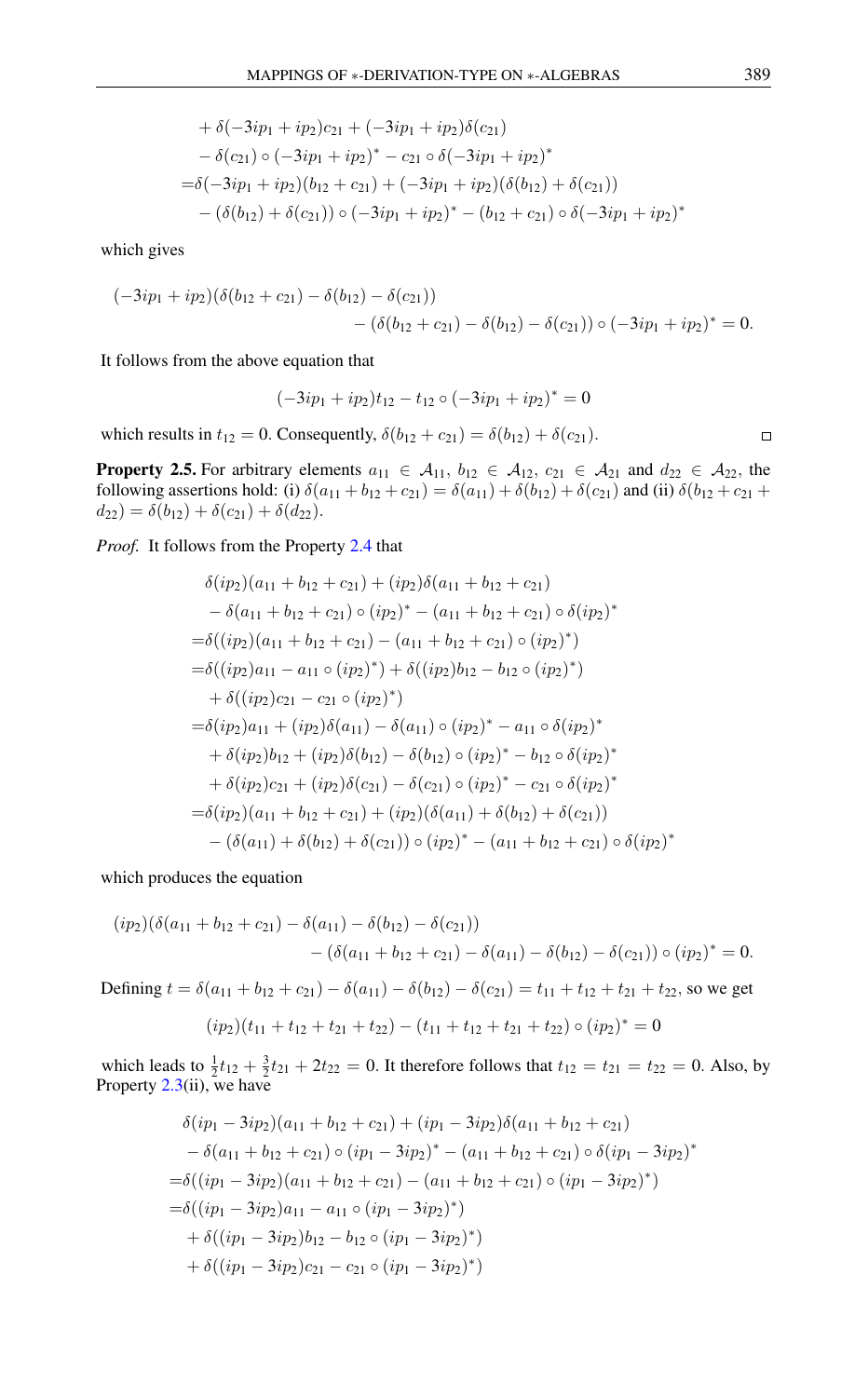+ 
$$
\delta(-3ip_1 + ip_2)c_{21} + (-3ip_1 + ip_2)\delta(c_{21})
$$
  
\n-  $\delta(c_{21}) \circ (-3ip_1 + ip_2)^* - c_{21} \circ \delta(-3ip_1 + ip_2)^*$   
\n=  $\delta(-3ip_1 + ip_2)(b_{12} + c_{21}) + (-3ip_1 + ip_2)(\delta(b_{12}) + \delta(c_{21}))$   
\n-  $(\delta(b_{12}) + \delta(c_{21})) \circ (-3ip_1 + ip_2)^* - (b_{12} + c_{21}) \circ \delta(-3ip_1 + ip_2)^*$ 

which gives

$$
(-3ip_1+ip_2)(\delta(b_{12}+c_{21})-\delta(b_{12})-\delta(c_{21}))
$$
  
-( $\delta(b_{12}+c_{21})-\delta(b_{12})-\delta(c_{21}))\circ(-3ip_1+ip_2)^*=0.$ 

It follows from the above equation that

$$
(-3ip_1 + ip_2)t_{12} - t_{12} \circ (-3ip_1 + ip_2)^* = 0
$$

which results in  $t_{12} = 0$ . Consequently,  $\delta(b_{12} + c_{21}) = \delta(b_{12}) + \delta(c_{21})$ .

<span id="page-3-0"></span>**Property 2.5.** For arbitrary elements  $a_{11} \in A_{11}$ ,  $b_{12} \in A_{12}$ ,  $c_{21} \in A_{21}$  and  $d_{22} \in A_{22}$ , the following assertions hold: (i)  $\delta(a_{11} + b_{12} + c_{21}) = \delta(a_{11}) + \delta(b_{12}) + \delta(c_{21})$  and (ii)  $\delta(b_{12} + c_{21} + b_{12} + c_{21}) = \delta(a_{11}) + \delta(b_{12}) + \delta(c_{21})$  $d_{22}) = \delta(b_{12}) + \delta(c_{21}) + \delta(d_{22}).$ 

*Proof.* It follows from the Property [2.4](#page-2-0) that

$$
\delta(ip_2)(a_{11} + b_{12} + c_{21}) + (ip_2)\delta(a_{11} + b_{12} + c_{21})
$$
  
\n
$$
- \delta(a_{11} + b_{12} + c_{21}) \circ (ip_2)^* - (a_{11} + b_{12} + c_{21}) \circ \delta(ip_2)^*
$$
  
\n
$$
= \delta((ip_2)(a_{11} + b_{12} + c_{21}) - (a_{11} + b_{12} + c_{21}) \circ (ip_2)^*)
$$
  
\n
$$
= \delta((ip_2)a_{11} - a_{11} \circ (ip_2)^*) + \delta((ip_2)b_{12} - b_{12} \circ (ip_2)^*)
$$
  
\n
$$
+ \delta((ip_2)c_{21} - c_{21} \circ (ip_2)^*)
$$
  
\n
$$
= \delta(ip_2)a_{11} + (ip_2)\delta(a_{11}) - \delta(a_{11}) \circ (ip_2)^* - a_{11} \circ \delta(ip_2)^*
$$
  
\n
$$
+ \delta(ip_2)b_{12} + (ip_2)\delta(b_{12}) - \delta(b_{12}) \circ (ip_2)^* - b_{12} \circ \delta(ip_2)^*
$$
  
\n
$$
+ \delta(ip_2)c_{21} + (ip_2)\delta(c_{21}) - \delta(c_{21}) \circ (ip_2)^* - c_{21} \circ \delta(ip_2)^*
$$
  
\n
$$
= \delta(ip_2)(a_{11} + b_{12} + c_{21}) + (ip_2)(\delta(a_{11}) + \delta(b_{12}) + \delta(c_{21}))
$$
  
\n
$$
- (\delta(a_{11}) + \delta(b_{12}) + \delta(c_{21})) \circ (ip_2)^* - (a_{11} + b_{12} + c_{21}) \circ \delta(ip_2)^*
$$

which produces the equation

$$
(ip_2)(\delta(a_{11} + b_{12} + c_{21}) - \delta(a_{11}) - \delta(b_{12}) - \delta(c_{21}))
$$
  
-  $(\delta(a_{11} + b_{12} + c_{21}) - \delta(a_{11}) - \delta(b_{12}) - \delta(c_{21})) \circ (ip_2)^* = 0.$ 

Defining  $t = \delta(a_{11} + b_{12} + c_{21}) - \delta(a_{11}) - \delta(b_{12}) - \delta(c_{21}) = t_{11} + t_{12} + t_{21} + t_{22}$ , so we get

$$
(ip_2)(t_{11} + t_{12} + t_{21} + t_{22}) - (t_{11} + t_{12} + t_{21} + t_{22}) \circ (ip_2)^* = 0
$$

which leads to  $\frac{1}{2}t_{12} + \frac{3}{2}t_{21} + 2t_{22} = 0$ . It therefore follows that  $t_{12} = t_{21} = t_{22} = 0$ . Also, by Property  $2.3$ (ii), we have

$$
\delta(ip_1 - 3ip_2)(a_{11} + b_{12} + c_{21}) + (ip_1 - 3ip_2)\delta(a_{11} + b_{12} + c_{21})
$$
  
\n
$$
- \delta(a_{11} + b_{12} + c_{21}) \circ (ip_1 - 3ip_2)^* - (a_{11} + b_{12} + c_{21}) \circ \delta(ip_1 - 3ip_2)^*
$$
  
\n
$$
= \delta((ip_1 - 3ip_2)(a_{11} + b_{12} + c_{21}) - (a_{11} + b_{12} + c_{21}) \circ (ip_1 - 3ip_2)^*)
$$
  
\n
$$
= \delta((ip_1 - 3ip_2)a_{11} - a_{11} \circ (ip_1 - 3ip_2)^*)
$$
  
\n
$$
+ \delta((ip_1 - 3ip_2)b_{12} - b_{12} \circ (ip_1 - 3ip_2)^*)
$$
  
\n
$$
+ \delta((ip_1 - 3ip_2)c_{21} - c_{21} \circ (ip_1 - 3ip_2)^*)
$$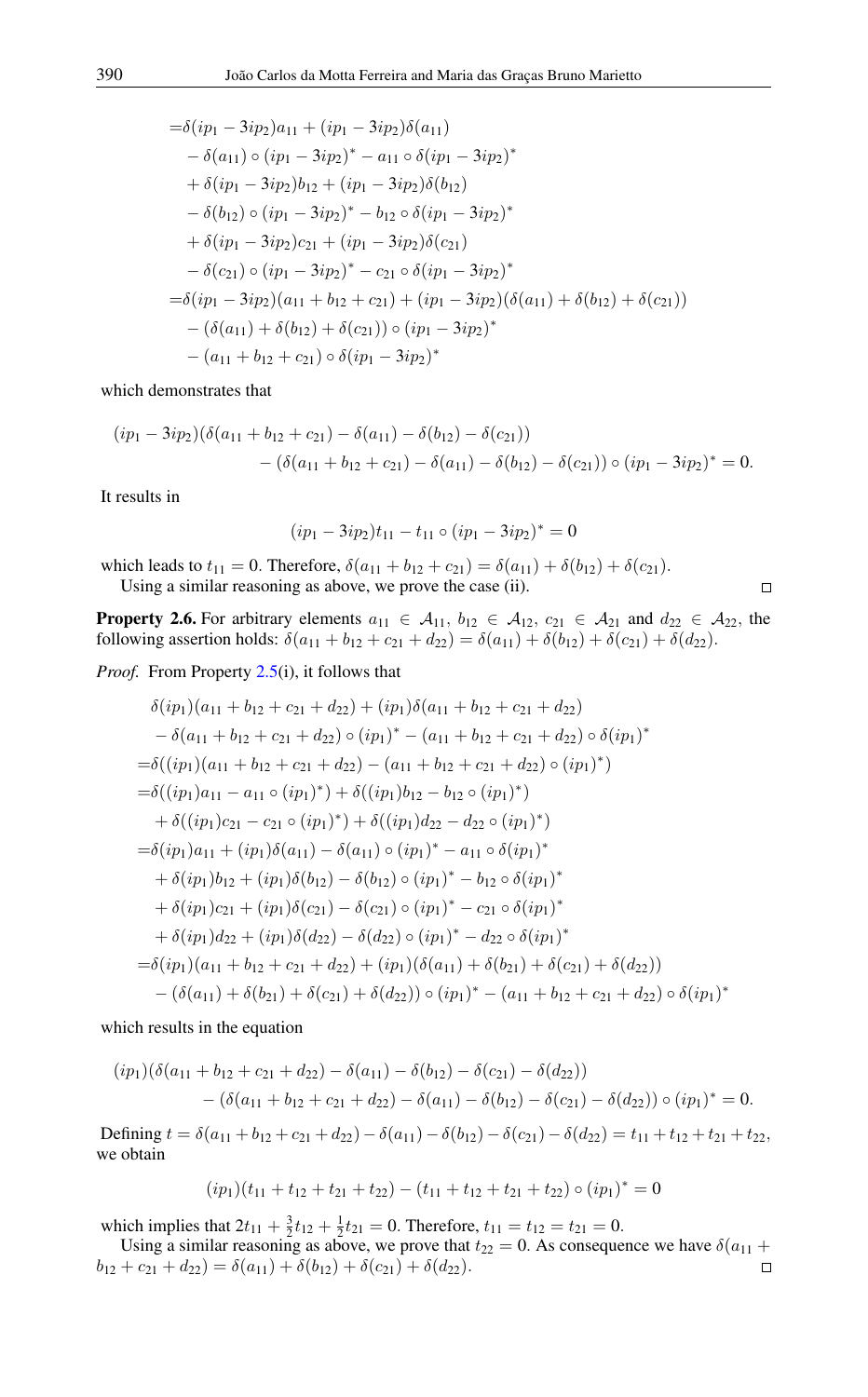$$
= \delta(ip_1 - 3ip_2)a_{11} + (ip_1 - 3ip_2)\delta(a_{11})
$$
  
\n
$$
- \delta(a_{11}) \circ (ip_1 - 3ip_2)^* - a_{11} \circ \delta(ip_1 - 3ip_2)^*
$$
  
\n
$$
+ \delta(ip_1 - 3ip_2)b_{12} + (ip_1 - 3ip_2)\delta(b_{12})
$$
  
\n
$$
- \delta(b_{12}) \circ (ip_1 - 3ip_2)^* - b_{12} \circ \delta(ip_1 - 3ip_2)^*
$$
  
\n
$$
+ \delta(ip_1 - 3ip_2)c_{21} + (ip_1 - 3ip_2)\delta(c_{21})
$$
  
\n
$$
- \delta(c_{21}) \circ (ip_1 - 3ip_2)^* - c_{21} \circ \delta(ip_1 - 3ip_2)^*
$$
  
\n
$$
= \delta(ip_1 - 3ip_2)(a_{11} + b_{12} + c_{21}) + (ip_1 - 3ip_2)(\delta(a_{11}) + \delta(b_{12}) + \delta(c_{21}))
$$
  
\n
$$
- (\delta(a_{11}) + \delta(b_{12}) + \delta(c_{21})) \circ (ip_1 - 3ip_2)^*
$$
  
\n
$$
- (a_{11} + b_{12} + c_{21}) \circ \delta(ip_1 - 3ip_2)^*
$$

which demonstrates that

$$
(ip_1 - 3ip_2)(\delta(a_{11} + b_{12} + c_{21}) - \delta(a_{11}) - \delta(b_{12}) - \delta(c_{21}))
$$
  
-  $(\delta(a_{11} + b_{12} + c_{21}) - \delta(a_{11}) - \delta(b_{12}) - \delta(c_{21})) \circ (ip_1 - 3ip_2)^* = 0.$ 

It results in

$$
(ip_1 - 3ip_2)t_{11} - t_{11} \circ (ip_1 - 3ip_2)^* = 0
$$

which leads to  $t_{11} = 0$ . Therefore,  $\delta(a_{11} + b_{12} + c_{21}) = \delta(a_{11}) + \delta(b_{12}) + \delta(c_{21})$ . Using a similar reasoning as above, we prove the case (ii).

<span id="page-4-0"></span>**Property 2.6.** For arbitrary elements  $a_{11} \in A_{11}$ ,  $b_{12} \in A_{12}$ ,  $c_{21} \in A_{21}$  and  $d_{22} \in A_{22}$ , the following assertion holds:  $\delta(a_{11} + b_{12} + c_{21} + d_{22}) = \delta(a_{11}) + \delta(b_{12}) + \delta(c_{21}) + \delta(d_{22}).$ 

 $\Box$ 

*Proof.* From Property [2.5\(](#page-3-0)i), it follows that

$$
\delta(ip_1)(a_{11} + b_{12} + c_{21} + d_{22}) + (ip_1)\delta(a_{11} + b_{12} + c_{21} + d_{22})
$$
  
\n
$$
- \delta(a_{11} + b_{12} + c_{21} + d_{22}) \circ (ip_1)^* - (a_{11} + b_{12} + c_{21} + d_{22}) \circ \delta(ip_1)^*
$$
  
\n
$$
= \delta((ip_1)(a_{11} + b_{12} + c_{21} + d_{22}) - (a_{11} + b_{12} + c_{21} + d_{22}) \circ (ip_1)^*)
$$
  
\n
$$
= \delta((ip_1)a_{11} - a_{11} \circ (ip_1)^*) + \delta((ip_1)b_{12} - b_{12} \circ (ip_1)^*)
$$
  
\n
$$
+ \delta((ip_1)c_{21} - c_{21} \circ (ip_1)^*) + \delta((ip_1)d_{22} - d_{22} \circ (ip_1)^*)
$$
  
\n
$$
= \delta(ip_1)a_{11} + (ip_1)\delta(a_{11}) - \delta(a_{11}) \circ (ip_1)^* - a_{11} \circ \delta(ip_1)^*
$$
  
\n
$$
+ \delta(ip_1)b_{12} + (ip_1)\delta(b_{12}) - \delta(b_{12}) \circ (ip_1)^* - b_{12} \circ \delta(ip_1)^*
$$
  
\n
$$
+ \delta(ip_1)c_{21} + (ip_1)\delta(c_{21}) - \delta(c_{21}) \circ (ip_1)^* - c_{21} \circ \delta(ip_1)^*
$$
  
\n
$$
+ \delta(ip_1)d_{22} + (ip_1)\delta(d_{22}) - \delta(d_{22}) \circ (ip_1)^* - d_{22} \circ \delta(ip_1)^*
$$
  
\n
$$
= \delta(ip_1)(a_{11} + b_{12} + c_{21} + d_{22}) + (ip_1)(\delta(a_{11}) + \delta(b_{21}) + \delta(c_{21}) + \delta(d_{22}))
$$
  
\n
$$
- (\delta(a_{11}) + \delta(b_{21}) + \delta(c_{21}) + \delta(d_{22})) \circ (ip_1)^* - (a_{11} + b_{12} + c_{21} + d_{22}) \circ
$$

which results in the equation

$$
(ip_1)(\delta(a_{11} + b_{12} + c_{21} + d_{22}) - \delta(a_{11}) - \delta(b_{12}) - \delta(c_{21}) - \delta(d_{22}))
$$
  
- (\delta(a\_{11} + b\_{12} + c\_{21} + d\_{22}) - \delta(a\_{11}) - \delta(b\_{12}) - \delta(c\_{21}) - \delta(d\_{22})) \circ (ip\_1)^\* = 0.

Defining  $t = \delta(a_{11} + b_{12} + c_{21} + d_{22}) - \delta(a_{11}) - \delta(b_{12}) - \delta(c_{21}) - \delta(d_{22}) = t_{11} + t_{12} + t_{21} + t_{22}$ , we obtain

$$
(ip_1)(t_{11} + t_{12} + t_{21} + t_{22}) - (t_{11} + t_{12} + t_{21} + t_{22}) \circ (ip_1)^* = 0
$$

which implies that  $2t_{11} + \frac{3}{2}t_{12} + \frac{1}{2}t_{21} = 0$ . Therefore,  $t_{11} = t_{12} = t_{21} = 0$ .

Using a similar reasoning as above, we prove that  $t_{22} = 0$ . As consequence we have  $\delta(a_{11} +$  $b_{12} + c_{21} + d_{22} = \delta(a_{11}) + \delta(b_{12}) + \delta(c_{21}) + \delta(d_{22}).$  $\Box$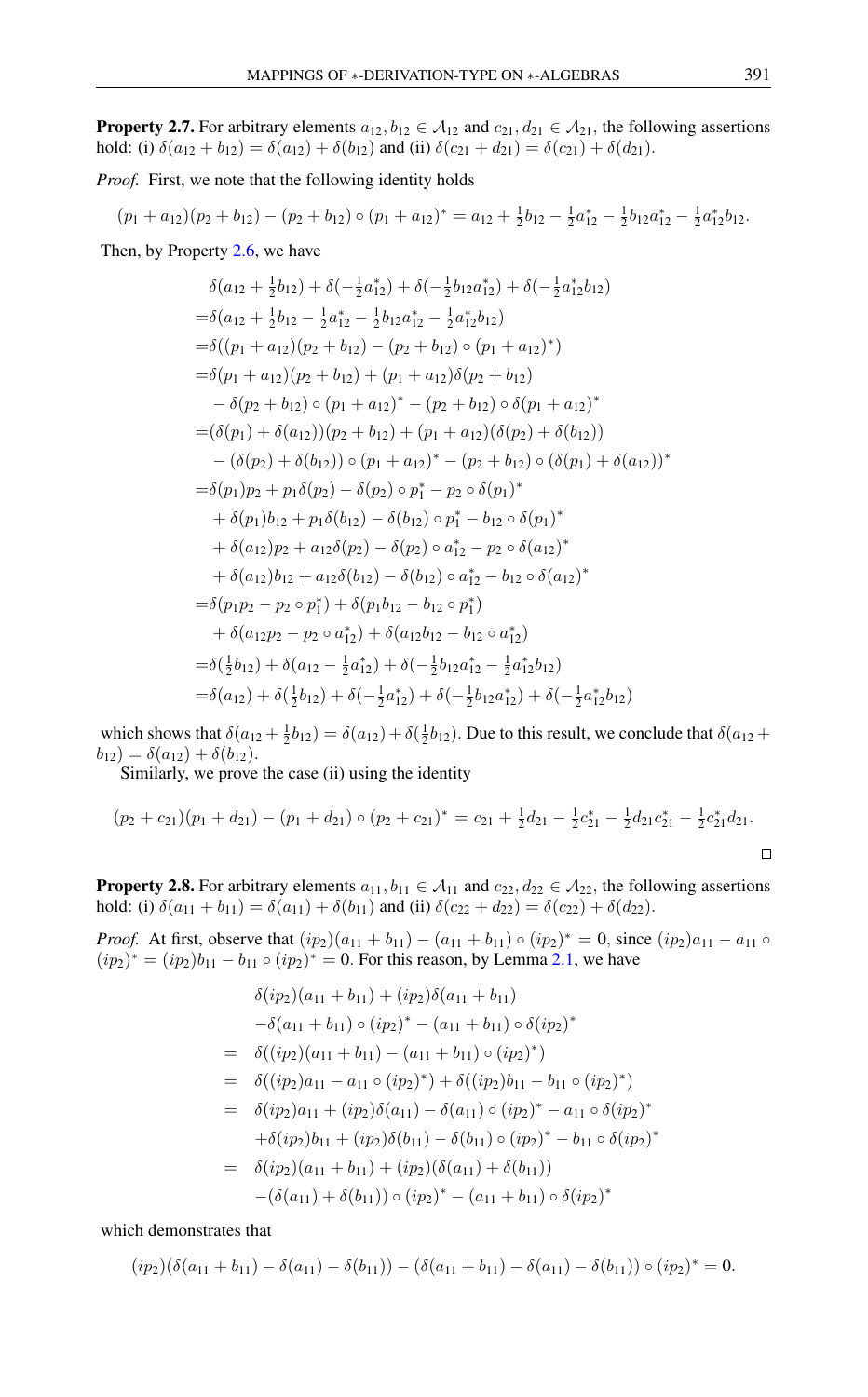<span id="page-5-0"></span>**Property 2.7.** For arbitrary elements  $a_{12}$ ,  $b_{12} \in A_{12}$  and  $c_{21}$ ,  $d_{21} \in A_{21}$ , the following assertions hold: (i)  $\delta(a_{12} + b_{12}) = \delta(a_{12}) + \delta(b_{12})$  and (ii)  $\delta(c_{21} + d_{21}) = \delta(c_{21}) + \delta(d_{21})$ .

*Proof.* First, we note that the following identity holds

 $(p_1 + a_{12})(p_2 + b_{12}) - (p_2 + b_{12}) \circ (p_1 + a_{12})^* = a_{12} + \frac{1}{2}b_{12} - \frac{1}{2}a_{12}^* - \frac{1}{2}b_{12}a_{12}^* - \frac{1}{2}a_{12}^*b_{12}.$ 

Then, by Property [2.6,](#page-4-0) we have

$$
\delta(a_{12} + \frac{1}{2}b_{12}) + \delta(-\frac{1}{2}a_{12}^*) + \delta(-\frac{1}{2}b_{12}a_{12}^*) + \delta(-\frac{1}{2}a_{12}^*b_{12})
$$
  
\n
$$
= \delta(a_{12} + \frac{1}{2}b_{12} - \frac{1}{2}a_{12}^* - \frac{1}{2}b_{12}a_{12}^* - \frac{1}{2}a_{12}^*b_{12})
$$
  
\n
$$
= \delta((p_1 + a_{12})(p_2 + b_{12}) - (p_2 + b_{12}) \circ (p_1 + a_{12})^*)
$$
  
\n
$$
= \delta(p_1 + a_{12})(p_2 + b_{12}) + (p_1 + a_{12})\delta(p_2 + b_{12})
$$
  
\n
$$
- \delta(p_2 + b_{12}) \circ (p_1 + a_{12})^* - (p_2 + b_{12}) \circ \delta(p_1 + a_{12})^*
$$
  
\n
$$
= (\delta(p_1) + \delta(a_{12}))(p_2 + b_{12}) + (p_1 + a_{12})(\delta(p_2) + \delta(b_{12}))
$$
  
\n
$$
- (\delta(p_2) + \delta(b_{12})) \circ (p_1 + a_{12})^* - (p_2 + b_{12}) \circ (\delta(p_1) + \delta(a_{12}))^*
$$
  
\n
$$
= \delta(p_1)p_2 + p_1\delta(p_2) - \delta(p_2) \circ p_1^* - p_2 \circ \delta(p_1)^*
$$
  
\n
$$
+ \delta(p_1)b_{12} + p_1\delta(b_{12}) - \delta(b_{12}) \circ p_1^* - b_{12} \circ \delta(p_1)^*
$$
  
\n
$$
+ \delta(a_{12})p_2 + a_{12}\delta(p_2) - \delta(p_2) \circ a_{12}^* - p_2 \circ \delta(a_{12})^*
$$
  
\n
$$
+ \delta(a_{12})p_2 + a_{12}\delta(p_1) - \delta(b_{12}) \circ a_{12}^* - b_{12} \circ \delta(a_{12})^*
$$
  
\n
$$
= \delta(p_1p_2 - p_2 \circ p_
$$

which shows that  $\delta(a_{12} + \frac{1}{2}b_{12}) = \delta(a_{12}) + \delta(\frac{1}{2}b_{12})$ . Due to this result, we conclude that  $\delta(a_{12} +$  $b_{12}$ ) =  $\delta(a_{12}) + \delta(b_{12})$ .

Similarly, we prove the case (ii) using the identity

$$
(p_2 + c_{21})(p_1 + d_{21}) - (p_1 + d_{21}) \circ (p_2 + c_{21})^* = c_{21} + \frac{1}{2}d_{21} - \frac{1}{2}c_{21}^* - \frac{1}{2}d_{21}c_{21}^* - \frac{1}{2}c_{21}^*d_{21}.
$$

<span id="page-5-1"></span>**Property 2.8.** For arbitrary elements  $a_{11}$ ,  $b_{11} \in A_{11}$  and  $c_{22}$ ,  $d_{22} \in A_{22}$ , the following assertions hold: (i)  $\delta(a_{11} + b_{11}) = \delta(a_{11}) + \delta(b_{11})$  and (ii)  $\delta(c_{22} + d_{22}) = \delta(c_{22}) + \delta(d_{22})$ .

*Proof.* At first, observe that  $(ip_2)(a_{11} + b_{11}) - (a_{11} + b_{11}) \circ (ip_2)^* = 0$ , since  $(ip_2)a_{11} - a_{11} \circ$  $(ip_2)^* = (ip_2)b_{11} - b_{11} \circ (ip_2)^* = 0$ . For this reason, by Lemma [2.1,](#page-0-1) we have

$$
\delta(ip_2)(a_{11} + b_{11}) + (ip_2)\delta(a_{11} + b_{11})
$$
  
\n
$$
-\delta(a_{11} + b_{11}) \circ (ip_2)^* - (a_{11} + b_{11}) \circ \delta(ip_2)^*
$$
  
\n
$$
= \delta((ip_2)(a_{11} + b_{11}) - (a_{11} + b_{11}) \circ (ip_2)^*)
$$
  
\n
$$
= \delta((ip_2)a_{11} - a_{11} \circ (ip_2)^*) + \delta((ip_2)b_{11} - b_{11} \circ (ip_2)^*)
$$
  
\n
$$
= \delta(ip_2)a_{11} + (ip_2)\delta(a_{11}) - \delta(a_{11}) \circ (ip_2)^* - a_{11} \circ \delta(ip_2)^*
$$
  
\n
$$
+ \delta(ip_2)b_{11} + (ip_2)\delta(b_{11}) - \delta(b_{11}) \circ (ip_2)^* - b_{11} \circ \delta(ip_2)^*
$$
  
\n
$$
= \delta(ip_2)(a_{11} + b_{11}) + (ip_2)(\delta(a_{11}) + \delta(b_{11}))
$$
  
\n
$$
- (\delta(a_{11}) + \delta(b_{11})) \circ (ip_2)^* - (a_{11} + b_{11}) \circ \delta(ip_2)^*
$$

which demonstrates that

$$
(ip_2)(\delta(a_{11} + b_{11}) - \delta(a_{11}) - \delta(b_{11})) - (\delta(a_{11} + b_{11}) - \delta(a_{11}) - \delta(b_{11})) \circ (ip_2)^* = 0.
$$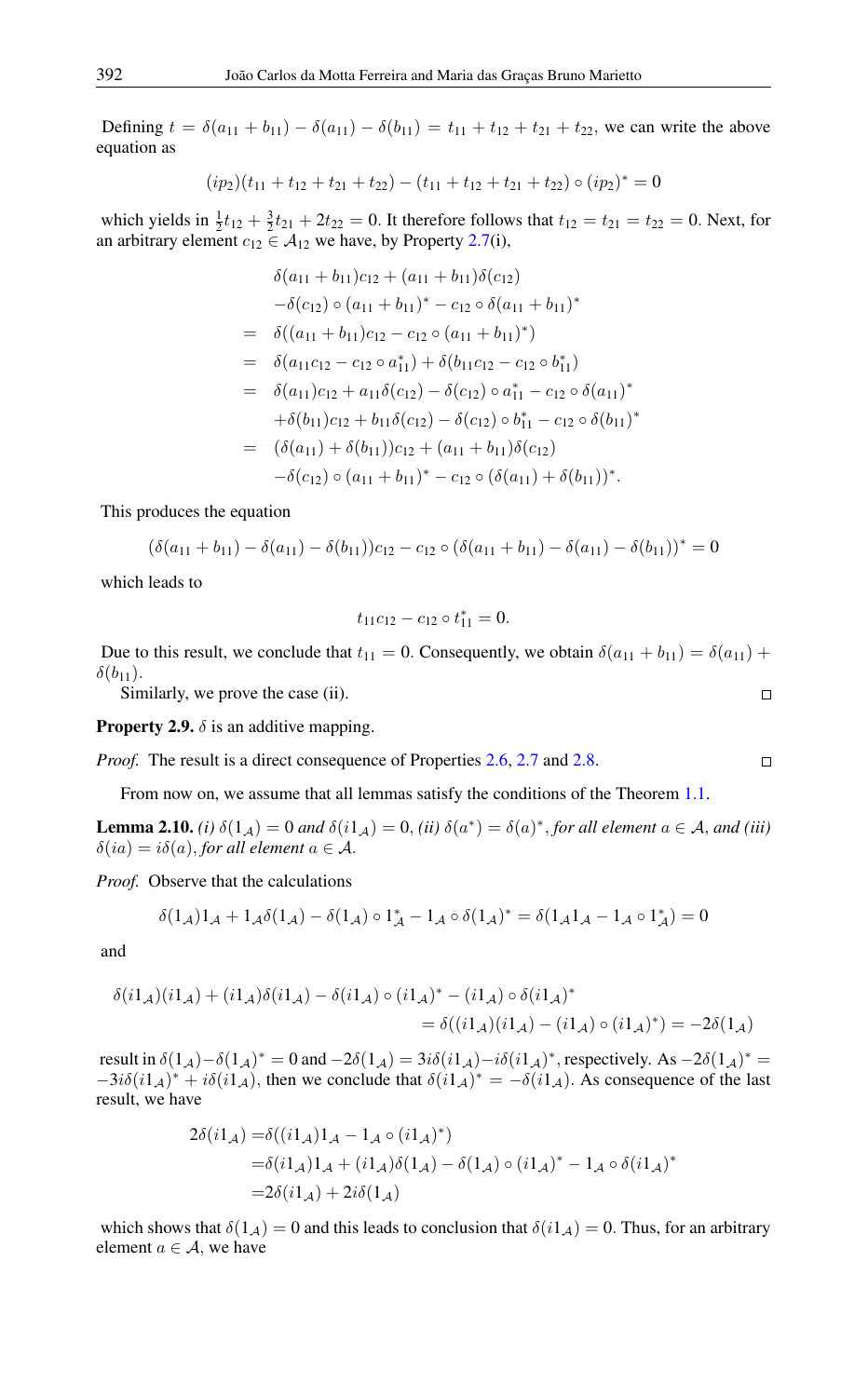Defining  $t = \delta(a_{11} + b_{11}) - \delta(a_{11}) - \delta(b_{11}) = t_{11} + t_{12} + t_{21} + t_{22}$ , we can write the above equation as

$$
(ip_2)(t_{11} + t_{12} + t_{21} + t_{22}) - (t_{11} + t_{12} + t_{21} + t_{22}) \circ (ip_2)^* = 0
$$

which yields in  $\frac{1}{2}t_{12} + \frac{3}{2}t_{21} + 2t_{22} = 0$ . It therefore follows that  $t_{12} = t_{21} = t_{22} = 0$ . Next, for an arbitrary element  $c_{12} \in A_{12}$  we have, by Property [2.7\(](#page-5-0)i),

$$
\delta(a_{11} + b_{11})c_{12} + (a_{11} + b_{11})\delta(c_{12})
$$
  
\n
$$
-\delta(c_{12}) \circ (a_{11} + b_{11})^* - c_{12} \circ \delta(a_{11} + b_{11})^*
$$
  
\n
$$
= \delta((a_{11} + b_{11})c_{12} - c_{12} \circ (a_{11} + b_{11})^*)
$$
  
\n
$$
= \delta(a_{11}c_{12} - c_{12} \circ a_{11}^*) + \delta(b_{11}c_{12} - c_{12} \circ b_{11}^*)
$$
  
\n
$$
= \delta(a_{11})c_{12} + a_{11}\delta(c_{12}) - \delta(c_{12}) \circ a_{11}^* - c_{12} \circ \delta(a_{11})^*
$$
  
\n
$$
+ \delta(b_{11})c_{12} + b_{11}\delta(c_{12}) - \delta(c_{12}) \circ b_{11}^* - c_{12} \circ \delta(b_{11})^*
$$
  
\n
$$
= (\delta(a_{11}) + \delta(b_{11}))c_{12} + (a_{11} + b_{11})\delta(c_{12})
$$
  
\n
$$
- \delta(c_{12}) \circ (a_{11} + b_{11})^* - c_{12} \circ (\delta(a_{11}) + \delta(b_{11}))^*.
$$

This produces the equation

$$
(\delta(a_{11} + b_{11}) - \delta(a_{11}) - \delta(b_{11}))c_{12} - c_{12} \circ (\delta(a_{11} + b_{11}) - \delta(a_{11}) - \delta(b_{11}))^* = 0
$$

which leads to

$$
t_{11}c_{12}-c_{12}\circ t_{11}^*=0.
$$

Due to this result, we conclude that  $t_{11} = 0$ . Consequently, we obtain  $\delta(a_{11} + b_{11}) = \delta(a_{11}) +$  $\delta(b_{11}).$ 

Similarly, we prove the case (ii).

<span id="page-6-0"></span>**Property 2.9.**  $\delta$  is an additive mapping.

*Proof.* The result is a direct consequence of Properties [2.6,](#page-4-0) [2.7](#page-5-0) and [2.8.](#page-5-1)

From now on, we assume that all lemmas satisfy the conditions of the Theorem [1.1.](#page-0-0)

<span id="page-6-1"></span>**Lemma 2.10.** *(i)*  $\delta(1_A) = 0$  *and*  $\delta(ii_A) = 0$ , *(ii)*  $\delta(a^*) = \delta(a)^*$ , *for all element*  $a \in A$ *, and (iii)*  $\delta(ia) = i\delta(a)$ , *for all element*  $a \in \mathcal{A}$ .

*Proof.* Observe that the calculations

$$
\delta(1_{\mathcal{A}})1_{\mathcal{A}}+1_{\mathcal{A}}\delta(1_{\mathcal{A}})-\delta(1_{\mathcal{A}})\circ 1^*_{\mathcal{A}}-1_{\mathcal{A}}\circ\delta(1_{\mathcal{A}})^*=\delta(1_{\mathcal{A}}1_{\mathcal{A}}-1_{\mathcal{A}}\circ 1^*_{\mathcal{A}})=0
$$

and

$$
\delta(i1_{\mathcal{A}})(i1_{\mathcal{A}}) + (i1_{\mathcal{A}})\delta(i1_{\mathcal{A}}) - \delta(i1_{\mathcal{A}}) \circ (i1_{\mathcal{A}})^{*} - (i1_{\mathcal{A}}) \circ \delta(i1_{\mathcal{A}})^{*}
$$
  
= 
$$
\delta((i1_{\mathcal{A}})(i1_{\mathcal{A}}) - (i1_{\mathcal{A}}) \circ (i1_{\mathcal{A}})^{*}) = -2\delta(1_{\mathcal{A}})
$$

result in  $\delta(1_A) - \delta(1_A)^* = 0$  and  $-2\delta(1_A) = 3i\delta(i1_A) - i\delta(i1_A)^*$ , respectively. As  $-2\delta(1_A)^* =$  $-3i\delta(i1_{\mathcal{A}})^* + i\delta(i1_{\mathcal{A}})$ , then we conclude that  $\delta(i1_{\mathcal{A}})^* = -\delta(i1_{\mathcal{A}})$ . As consequence of the last result, we have

$$
2\delta(i1_{\mathcal{A}}) = \delta((i1_{\mathcal{A}})1_{\mathcal{A}} - 1_{\mathcal{A}} \circ (i1_{\mathcal{A}})^{*})
$$
  
=  $\delta(i1_{\mathcal{A}})1_{\mathcal{A}} + (i1_{\mathcal{A}})\delta(1_{\mathcal{A}}) - \delta(1_{\mathcal{A}}) \circ (i1_{\mathcal{A}})^{*} - 1_{\mathcal{A}} \circ \delta(i1_{\mathcal{A}})^{*}$   
=  $2\delta(i1_{\mathcal{A}}) + 2i\delta(1_{\mathcal{A}})$ 

which shows that  $\delta(1_A) = 0$  and this leads to conclusion that  $\delta(i_A) = 0$ . Thus, for an arbitrary element  $a \in \mathcal{A}$ , we have

$$
\Box
$$